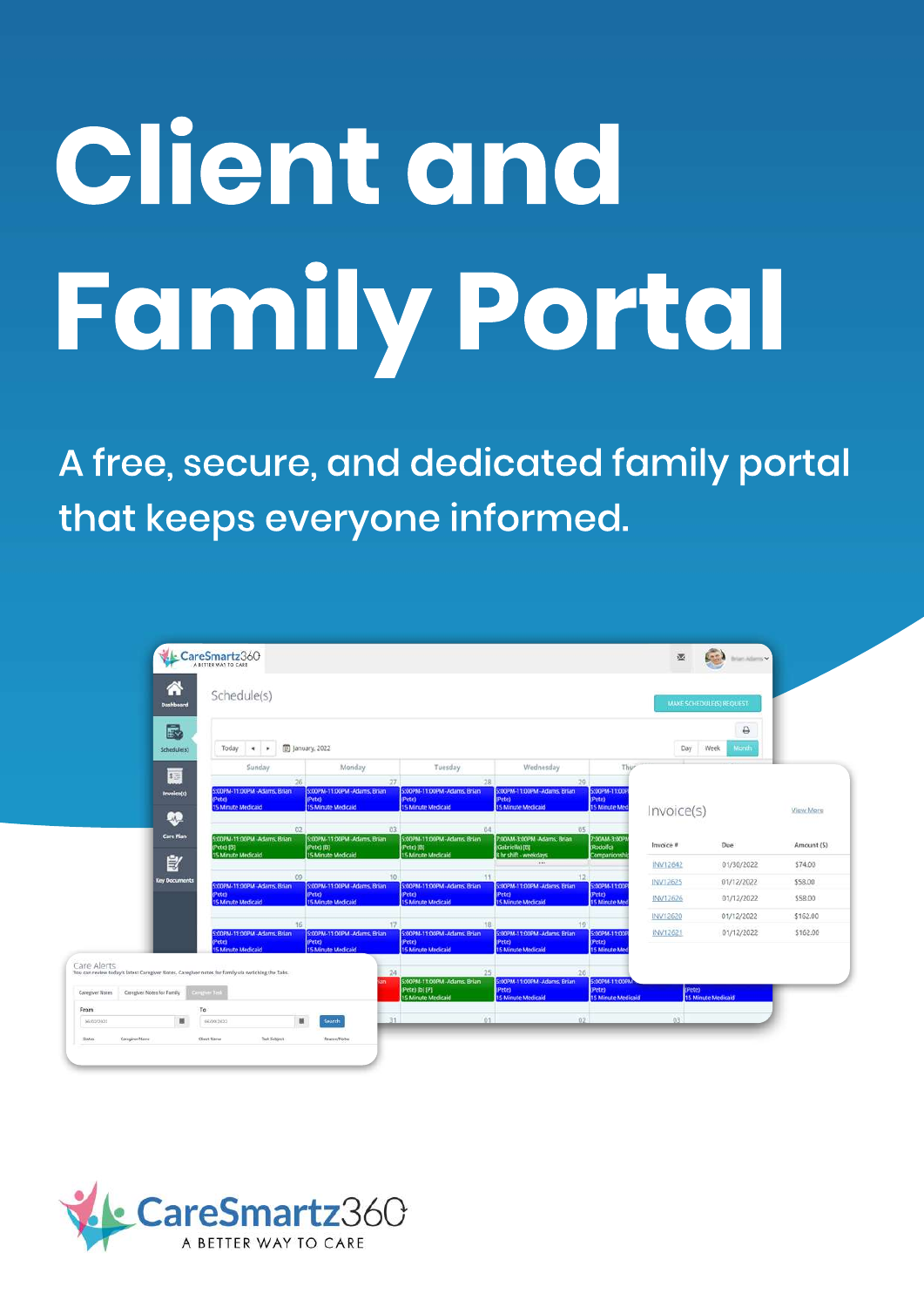# **Client and Family Portal**

A free, secure, and dedicated family portal that keeps everyone informed.

| B<br>₿<br><b>图 January</b> , 2022<br>Day<br>Week<br><b>Month</b><br>Today<br>$-4$<br>Schedule(s)<br>Sunday<br>Monday<br>Wednesday<br>Thur<br>Tuesday<br>1五<br>.29<br>26<br>27<br>$-28$<br>S:00PM-11:00PM -Adams, Brian<br>S:00PM-11:00PM -Adams, Brian<br>5:00PM-11:00PM -Adams. Brian<br>SOOPM-11:00PM - Adams, Brian<br>5:00PM-11:00P<br>invoice(s)<br>(Pete)<br>(Pete)<br>(Pete)<br>lete)<br>(Pete)<br>15 Minute Medicald<br><b>15 Minute Medicaid</b><br><b>15 Minute Medicald</b><br><b>15 Minute Medicaid</b><br><b>15 Minute Med</b><br>Invoice(s)<br>View More<br>œ<br>02<br>05<br>ū3<br>04<br><b>Care Plan</b><br>5:00PM-11:00PM Adams, Brian<br>S:00PM-11:00PM -Adams, Brian<br>5:00PM-11:00PM-Adams, Brian<br>7.00AM-3:00PM -Adams, Brian<br>7:00AM-3:00P/<br>Invoice #<br>Due<br>Amount (\$)<br>(Rodolfo)<br>Pete) [8]<br>(Pete) [B]<br>Gabriella) [B]<br>Petel (B)<br><b>15 Minute Medicaid</b><br><b>IS Minute Medicaid</b><br>15 Minute Medicald<br><b>B hr shift - weekdays</b><br>Companionsh<br>皀<br>$-498.0$<br>INV12642<br>01/30/2022<br>\$74.00<br>09<br>12<br>$50^{6}$<br><b>Key Documents</b><br><b>INV12625</b><br>\$58.00<br>01/12/2022<br>S:00PM-11:00PM-Adams. Brian<br>S:00PM-11:00PM -Adams, Brian<br>5:00PM-11:00PM-Adams. Brian<br>SOOPM-11:00PM -Adams, Brian<br>S:00PM-11:00P<br>(Pete)<br>(Pete)<br>(Pete)<br>(Pete)<br>Petes<br>\$58.00<br>INV12626<br>01/12/2022<br>5 Minute Medicaid<br><b>15 Minute Medicaid</b><br><b>15 Minute Medicaid</b><br><b>15 Minute Medicaid</b><br><b>15 Minute Med</b><br>INV12620<br>01/12/2022<br>\$162.00<br>16<br>19<br>01/12/2022<br>\$162.00<br>S:00PM-11:00PM -Adams, Brian<br>S:00PM-11:00PM -Adams, Brian<br>5:00PM-11:00PM-Adams, Brian<br>SOOPM-11:00PM -Adams, Brian<br>S:00PM-11:00P<br>INV12621<br>(Pete)<br>(Pete)<br>(Pete)<br>(Pete)<br>ete)<br><b>5 Minute Medicaid</b><br><b>15 Minute Medicaid</b><br><b>15 Minute Medicald</b><br><b>15 Minute Medicaid</b><br><b>15 Minute Med</b><br>Care Alerts<br>24<br>25<br>26<br>You can review today's latest Caregiver Notes, Caregiver notes for family via swtiching the Tabs.<br>SIODPM-11:00PM -Adams, Brian<br>5:00PM-11:00PM-Adams. Brian<br>5:00PM-11:00PM<br>(Pete)<br>(Pete)<br>(Pete) [b] [P]<br>Pete)<br><b>Single-Test</b><br>Canegiver Notes for Family<br>Categiver Notes.<br><b>15 Minute Medicaid</b><br><b>15 Minute Medicaid</b><br><b>15 Minute Medicaid</b><br><b>IS Minute Medicaid</b> | From<br>To | А<br>Dashboard | Schedule(s) |  |  | <b>MAKE SCHEDULE(S) REQUEST</b> |  |
|----------------------------------------------------------------------------------------------------------------------------------------------------------------------------------------------------------------------------------------------------------------------------------------------------------------------------------------------------------------------------------------------------------------------------------------------------------------------------------------------------------------------------------------------------------------------------------------------------------------------------------------------------------------------------------------------------------------------------------------------------------------------------------------------------------------------------------------------------------------------------------------------------------------------------------------------------------------------------------------------------------------------------------------------------------------------------------------------------------------------------------------------------------------------------------------------------------------------------------------------------------------------------------------------------------------------------------------------------------------------------------------------------------------------------------------------------------------------------------------------------------------------------------------------------------------------------------------------------------------------------------------------------------------------------------------------------------------------------------------------------------------------------------------------------------------------------------------------------------------------------------------------------------------------------------------------------------------------------------------------------------------------------------------------------------------------------------------------------------------------------------------------------------------------------------------------------------------------------------------------------------------------------------------------------------------------------------------------------------------------------------------------------------------------------------------------|------------|----------------|-------------|--|--|---------------------------------|--|
|                                                                                                                                                                                                                                                                                                                                                                                                                                                                                                                                                                                                                                                                                                                                                                                                                                                                                                                                                                                                                                                                                                                                                                                                                                                                                                                                                                                                                                                                                                                                                                                                                                                                                                                                                                                                                                                                                                                                                                                                                                                                                                                                                                                                                                                                                                                                                                                                                                              |            |                |             |  |  |                                 |  |
|                                                                                                                                                                                                                                                                                                                                                                                                                                                                                                                                                                                                                                                                                                                                                                                                                                                                                                                                                                                                                                                                                                                                                                                                                                                                                                                                                                                                                                                                                                                                                                                                                                                                                                                                                                                                                                                                                                                                                                                                                                                                                                                                                                                                                                                                                                                                                                                                                                              |            |                |             |  |  |                                 |  |
|                                                                                                                                                                                                                                                                                                                                                                                                                                                                                                                                                                                                                                                                                                                                                                                                                                                                                                                                                                                                                                                                                                                                                                                                                                                                                                                                                                                                                                                                                                                                                                                                                                                                                                                                                                                                                                                                                                                                                                                                                                                                                                                                                                                                                                                                                                                                                                                                                                              |            |                |             |  |  |                                 |  |
|                                                                                                                                                                                                                                                                                                                                                                                                                                                                                                                                                                                                                                                                                                                                                                                                                                                                                                                                                                                                                                                                                                                                                                                                                                                                                                                                                                                                                                                                                                                                                                                                                                                                                                                                                                                                                                                                                                                                                                                                                                                                                                                                                                                                                                                                                                                                                                                                                                              |            |                |             |  |  |                                 |  |
|                                                                                                                                                                                                                                                                                                                                                                                                                                                                                                                                                                                                                                                                                                                                                                                                                                                                                                                                                                                                                                                                                                                                                                                                                                                                                                                                                                                                                                                                                                                                                                                                                                                                                                                                                                                                                                                                                                                                                                                                                                                                                                                                                                                                                                                                                                                                                                                                                                              |            |                |             |  |  |                                 |  |
|                                                                                                                                                                                                                                                                                                                                                                                                                                                                                                                                                                                                                                                                                                                                                                                                                                                                                                                                                                                                                                                                                                                                                                                                                                                                                                                                                                                                                                                                                                                                                                                                                                                                                                                                                                                                                                                                                                                                                                                                                                                                                                                                                                                                                                                                                                                                                                                                                                              |            |                |             |  |  |                                 |  |
|                                                                                                                                                                                                                                                                                                                                                                                                                                                                                                                                                                                                                                                                                                                                                                                                                                                                                                                                                                                                                                                                                                                                                                                                                                                                                                                                                                                                                                                                                                                                                                                                                                                                                                                                                                                                                                                                                                                                                                                                                                                                                                                                                                                                                                                                                                                                                                                                                                              |            |                |             |  |  |                                 |  |
|                                                                                                                                                                                                                                                                                                                                                                                                                                                                                                                                                                                                                                                                                                                                                                                                                                                                                                                                                                                                                                                                                                                                                                                                                                                                                                                                                                                                                                                                                                                                                                                                                                                                                                                                                                                                                                                                                                                                                                                                                                                                                                                                                                                                                                                                                                                                                                                                                                              |            |                |             |  |  |                                 |  |
|                                                                                                                                                                                                                                                                                                                                                                                                                                                                                                                                                                                                                                                                                                                                                                                                                                                                                                                                                                                                                                                                                                                                                                                                                                                                                                                                                                                                                                                                                                                                                                                                                                                                                                                                                                                                                                                                                                                                                                                                                                                                                                                                                                                                                                                                                                                                                                                                                                              |            |                |             |  |  |                                 |  |
|                                                                                                                                                                                                                                                                                                                                                                                                                                                                                                                                                                                                                                                                                                                                                                                                                                                                                                                                                                                                                                                                                                                                                                                                                                                                                                                                                                                                                                                                                                                                                                                                                                                                                                                                                                                                                                                                                                                                                                                                                                                                                                                                                                                                                                                                                                                                                                                                                                              |            |                |             |  |  |                                 |  |
|                                                                                                                                                                                                                                                                                                                                                                                                                                                                                                                                                                                                                                                                                                                                                                                                                                                                                                                                                                                                                                                                                                                                                                                                                                                                                                                                                                                                                                                                                                                                                                                                                                                                                                                                                                                                                                                                                                                                                                                                                                                                                                                                                                                                                                                                                                                                                                                                                                              |            |                |             |  |  |                                 |  |
|                                                                                                                                                                                                                                                                                                                                                                                                                                                                                                                                                                                                                                                                                                                                                                                                                                                                                                                                                                                                                                                                                                                                                                                                                                                                                                                                                                                                                                                                                                                                                                                                                                                                                                                                                                                                                                                                                                                                                                                                                                                                                                                                                                                                                                                                                                                                                                                                                                              |            |                |             |  |  |                                 |  |
|                                                                                                                                                                                                                                                                                                                                                                                                                                                                                                                                                                                                                                                                                                                                                                                                                                                                                                                                                                                                                                                                                                                                                                                                                                                                                                                                                                                                                                                                                                                                                                                                                                                                                                                                                                                                                                                                                                                                                                                                                                                                                                                                                                                                                                                                                                                                                                                                                                              |            |                |             |  |  |                                 |  |
|                                                                                                                                                                                                                                                                                                                                                                                                                                                                                                                                                                                                                                                                                                                                                                                                                                                                                                                                                                                                                                                                                                                                                                                                                                                                                                                                                                                                                                                                                                                                                                                                                                                                                                                                                                                                                                                                                                                                                                                                                                                                                                                                                                                                                                                                                                                                                                                                                                              |            |                |             |  |  |                                 |  |
|                                                                                                                                                                                                                                                                                                                                                                                                                                                                                                                                                                                                                                                                                                                                                                                                                                                                                                                                                                                                                                                                                                                                                                                                                                                                                                                                                                                                                                                                                                                                                                                                                                                                                                                                                                                                                                                                                                                                                                                                                                                                                                                                                                                                                                                                                                                                                                                                                                              |            |                |             |  |  |                                 |  |
|                                                                                                                                                                                                                                                                                                                                                                                                                                                                                                                                                                                                                                                                                                                                                                                                                                                                                                                                                                                                                                                                                                                                                                                                                                                                                                                                                                                                                                                                                                                                                                                                                                                                                                                                                                                                                                                                                                                                                                                                                                                                                                                                                                                                                                                                                                                                                                                                                                              |            |                |             |  |  |                                 |  |
| 01<br>02<br>03<br>31<br>员                                                                                                                                                                                                                                                                                                                                                                                                                                                                                                                                                                                                                                                                                                                                                                                                                                                                                                                                                                                                                                                                                                                                                                                                                                                                                                                                                                                                                                                                                                                                                                                                                                                                                                                                                                                                                                                                                                                                                                                                                                                                                                                                                                                                                                                                                                                                                                                                                    |            |                |             |  |  |                                 |  |

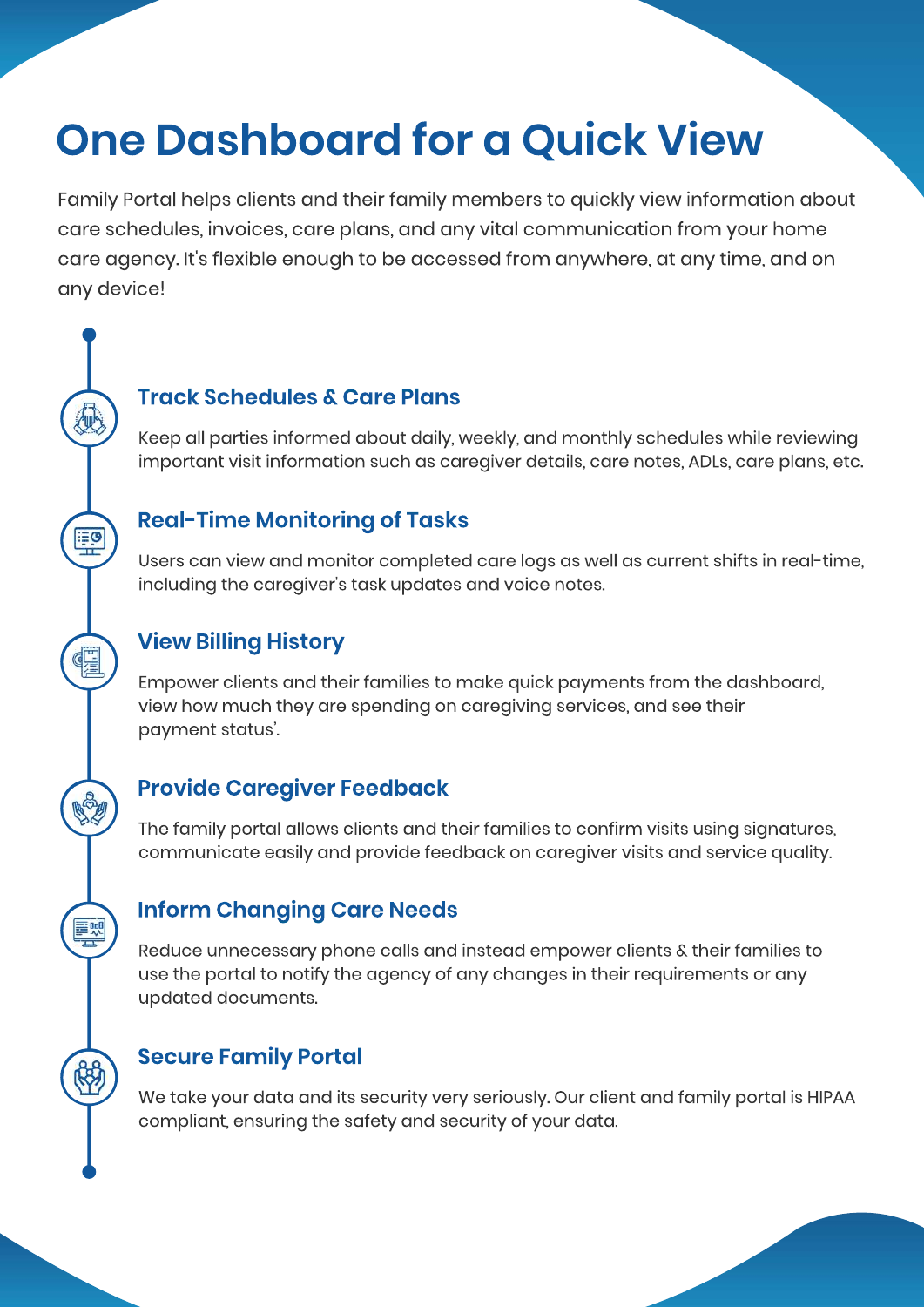## **One Dashboard for a Quick View**

Family Portal helps clients and their family members to quickly view information about care schedules, invoices, care plans, and any vital communication from your home care agency. It's flexible enough to be accessed from anywhere, at any time, and on any device!

#### **Track Schedules & Care Plans**

Keep all parties informed about daily, weekly, and monthly schedules while reviewing important visit information such as caregiver details, care notes, ADLs, care plans, etc.

#### **Real-Time Monitoring of Tasks**

Users can view and monitor completed care logs as well as current shifts in real-time, including the caregiver's task updates and voice notes.

#### **View Billing History**

里

興

Empower clients and their families to make quick payments from the dashboard, view how much they are spending on caregiving services, and see their payment status'.

#### **Provide Caregiver Feedback**

The family portal allows clients and their families to confirm visits using signatures, communicate easily and provide feedback on caregiver visits and service quality.

#### **Inform Changing Care Needs**

Reduce unnecessary phone calls and instead empower clients & their families to use the portal to notify the agency of any changes in their requirements or any updated documents.

#### **Secure Family Portal**

We take your data and its security very seriously. Our client and family portal is HIPAA compliant, ensuring the safety and security of your data.